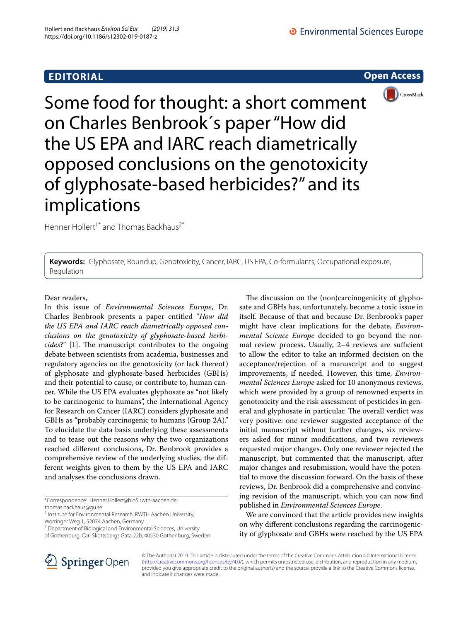# **EDITORIAL**

**Open Access**



Some food for thought: a short comment on Charles Benbrook´s paper "How did the US EPA and IARC reach diametrically opposed conclusions on the genotoxicity of glyphosate-based herbicides?" and its implications

Henner Hollert<sup>1\*</sup> and Thomas Backhaus<sup>2\*</sup>

**Keywords:** Glyphosate, Roundup, Genotoxicity, Cancer, IARC, US EPA, Co-formulants, Occupational exposure, Regulation

Dear readers,

In this issue of *Environmental Sciences Europe*, Dr. Charles Benbrook presents a paper entitled "*How did the US EPA and IARC reach diametrically opposed conclusions on the genotoxicity of glyphosate*-*based herbicides*?" [\[1](#page-1-0)]. The manuscript contributes to the ongoing debate between scientists from academia, businesses and regulatory agencies on the genotoxicity (or lack thereof) of glyphosate and glyphosate-based herbicides (GBHs) and their potential to cause, or contribute to, human cancer. While the US EPA evaluates glyphosate as "not likely to be carcinogenic to humans", the International Agency for Research on Cancer (IARC) considers glyphosate and GBHs as "probably carcinogenic to humans (Group 2A)." To elucidate the data basis underlying these assessments and to tease out the reasons why the two organizations reached diferent conclusions, Dr. Benbrook provides a comprehensive review of the underlying studies, the different weights given to them by the US EPA and IARC and analyses the conclusions drawn.

\*Correspondence: Henner.Hollert@bio5.rwth-aachen.de;

thomas.backhaus@gu.se

<sup>1</sup> Institute for Environmental Research, RWTH Aachen University,

Worringer Weg 1, 52074 Aachen, Germany

The discussion on the (non)carcinogenicity of glyphosate and GBHs has, unfortunately, become a toxic issue in itself. Because of that and because Dr. Benbrook's paper might have clear implications for the debate, *Environmental Science Europe* decided to go beyond the normal review process. Usually, 2-4 reviews are sufficient to allow the editor to take an informed decision on the acceptance/rejection of a manuscript and to suggest improvements, if needed. However, this time, *Environmental Sciences Europe* asked for 10 anonymous reviews, which were provided by a group of renowned experts in genotoxicity and the risk assessment of pesticides in general and glyphosate in particular. The overall verdict was very positive: one reviewer suggested acceptance of the initial manuscript without further changes, six reviewers asked for minor modifcations, and two reviewers requested major changes. Only one reviewer rejected the manuscript, but commented that the manuscript, after major changes and resubmission, would have the potential to move the discussion forward. On the basis of these reviews, Dr. Benbrook did a comprehensive and convincing revision of the manuscript, which you can now fnd published in *Environmental Sciences Europe*.

We are convinced that the article provides new insights on why diferent conclusions regarding the carcinogenicity of glyphosate and GBHs were reached by the US EPA



© The Author(s) 2019. This article is distributed under the terms of the Creative Commons Attribution 4.0 International License [\(http://creativecommons.org/licenses/by/4.0/\)](http://creativecommons.org/licenses/by/4.0/), which permits unrestricted use, distribution, and reproduction in any medium, provided you give appropriate credit to the original author(s) and the source, provide a link to the Creative Commons license, and indicate if changes were made.

<sup>&</sup>lt;sup>2</sup> Department of Biological and Environmental Sciences, University of Gothenburg, Carl Skottsbergs Gata 22b, 40530 Gothenburg, Sweden